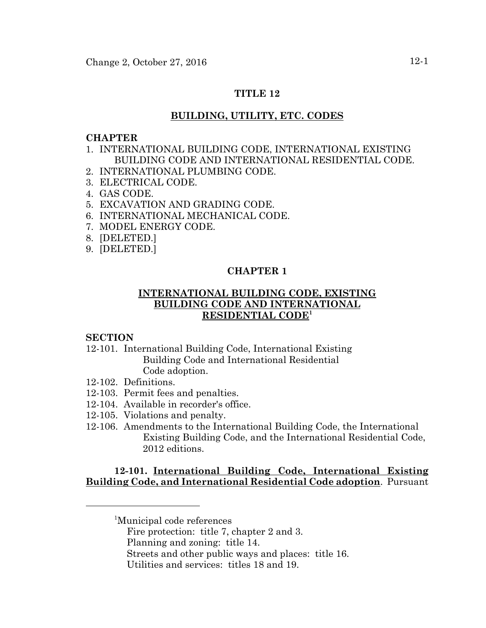### **TITLE 12**

### **BUILDING, UTILITY, ETC. CODES**

#### **CHAPTER**

- 1. INTERNATIONAL BUILDING CODE, INTERNATIONAL EXISTING BUILDING CODE AND INTERNATIONAL RESIDENTIAL CODE.
- 2. INTERNATIONAL PLUMBING CODE.
- 3. ELECTRICAL CODE.
- 4. GAS CODE.
- 5. EXCAVATION AND GRADING CODE.
- 6. INTERNATIONAL MECHANICAL CODE.
- 7. MODEL ENERGY CODE.
- 8. [DELETED.]
- 9. [DELETED.]

### **CHAPTER 1**

### **INTERNATIONAL BUILDING CODE, EXISTING BUILDING CODE AND INTERNATIONAL RESIDENTIAL CODE<sup>1</sup>**

#### **SECTION**

- 12-101. International Building Code, International Existing Building Code and International Residential Code adoption.
- 12-102. Definitions.
- 12-103. Permit fees and penalties.
- 12-104. Available in recorder's office.
- 12-105. Violations and penalty.
- 12-106. Amendments to the International Building Code, the International Existing Building Code, and the International Residential Code, 2012 editions.

### **12-101. International Building Code, International Existing Building Code, and International Residential Code adoption**. Pursuant

- Fire protection: title 7, chapter 2 and 3.
- Planning and zoning: title 14.
- Streets and other public ways and places: title 16.
- Utilities and services: titles 18 and 19.

<sup>1</sup> Municipal code references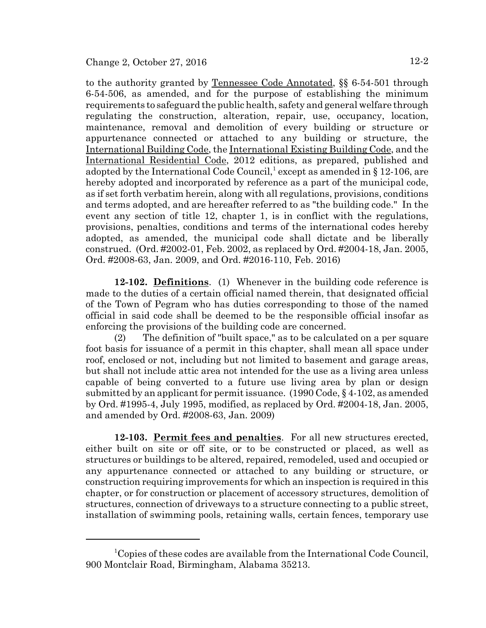to the authority granted by Tennessee Code Annotated, §§ 6-54-501 through 6-54-506, as amended, and for the purpose of establishing the minimum requirements to safeguard the public health, safety and general welfare through regulating the construction, alteration, repair, use, occupancy, location, maintenance, removal and demolition of every building or structure or appurtenance connected or attached to any building or structure, the International Building Code, the International Existing Building Code, and the International Residential Code, 2012 editions, as prepared, published and adopted by the International Code Council,<sup>1</sup> except as amended in § 12-106, are hereby adopted and incorporated by reference as a part of the municipal code, as if set forth verbatim herein, along with all regulations, provisions, conditions and terms adopted, and are hereafter referred to as "the building code." In the event any section of title 12, chapter 1, is in conflict with the regulations, provisions, penalties, conditions and terms of the international codes hereby adopted, as amended, the municipal code shall dictate and be liberally construed. (Ord. #2002-01, Feb. 2002, as replaced by Ord. #2004-18, Jan. 2005, Ord. #2008-63, Jan. 2009, and Ord. #2016-110, Feb. 2016)

**12-102. Definitions**. (1) Whenever in the building code reference is made to the duties of a certain official named therein, that designated official of the Town of Pegram who has duties corresponding to those of the named official in said code shall be deemed to be the responsible official insofar as enforcing the provisions of the building code are concerned.

(2) The definition of "built space," as to be calculated on a per square foot basis for issuance of a permit in this chapter, shall mean all space under roof, enclosed or not, including but not limited to basement and garage areas, but shall not include attic area not intended for the use as a living area unless capable of being converted to a future use living area by plan or design submitted by an applicant for permit issuance. (1990 Code, § 4-102, as amended by Ord. #1995-4, July 1995, modified, as replaced by Ord. #2004-18, Jan. 2005, and amended by Ord. #2008-63, Jan. 2009)

**12-103. Permit fees and penalties**. For all new structures erected, either built on site or off site, or to be constructed or placed, as well as structures or buildings to be altered, repaired, remodeled, used and occupied or any appurtenance connected or attached to any building or structure, or construction requiring improvements for which an inspection is required in this chapter, or for construction or placement of accessory structures, demolition of structures, connection of driveways to a structure connecting to a public street, installation of swimming pools, retaining walls, certain fences, temporary use

<sup>&</sup>lt;sup>1</sup>Copies of these codes are available from the International Code Council, 900 Montclair Road, Birmingham, Alabama 35213.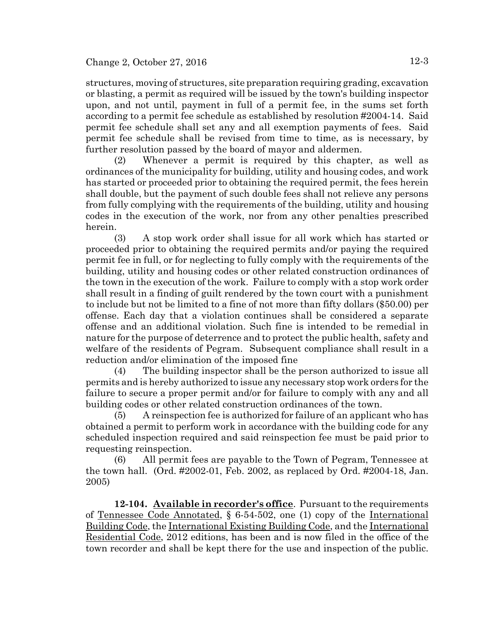structures, moving of structures, site preparation requiring grading, excavation or blasting, a permit as required will be issued by the town's building inspector upon, and not until, payment in full of a permit fee, in the sums set forth according to a permit fee schedule as established by resolution #2004-14. Said permit fee schedule shall set any and all exemption payments of fees. Said permit fee schedule shall be revised from time to time, as is necessary, by further resolution passed by the board of mayor and aldermen.

(2) Whenever a permit is required by this chapter, as well as ordinances of the municipality for building, utility and housing codes, and work has started or proceeded prior to obtaining the required permit, the fees herein shall double, but the payment of such double fees shall not relieve any persons from fully complying with the requirements of the building, utility and housing codes in the execution of the work, nor from any other penalties prescribed herein.

(3) A stop work order shall issue for all work which has started or proceeded prior to obtaining the required permits and/or paying the required permit fee in full, or for neglecting to fully comply with the requirements of the building, utility and housing codes or other related construction ordinances of the town in the execution of the work. Failure to comply with a stop work order shall result in a finding of guilt rendered by the town court with a punishment to include but not be limited to a fine of not more than fifty dollars (\$50.00) per offense. Each day that a violation continues shall be considered a separate offense and an additional violation. Such fine is intended to be remedial in nature for the purpose of deterrence and to protect the public health, safety and welfare of the residents of Pegram. Subsequent compliance shall result in a reduction and/or elimination of the imposed fine

(4) The building inspector shall be the person authorized to issue all permits and is hereby authorized to issue any necessary stop work orders for the failure to secure a proper permit and/or for failure to comply with any and all building codes or other related construction ordinances of the town.

(5) A reinspection fee is authorized for failure of an applicant who has obtained a permit to perform work in accordance with the building code for any scheduled inspection required and said reinspection fee must be paid prior to requesting reinspection.

(6) All permit fees are payable to the Town of Pegram, Tennessee at the town hall. (Ord. #2002-01, Feb. 2002, as replaced by Ord. #2004-18, Jan. 2005)

**12-104. Available in recorder's office**. Pursuant to the requirements of Tennessee Code Annotated, § 6-54-502, one (1) copy of the International Building Code, the International Existing Building Code, and the International Residential Code, 2012 editions, has been and is now filed in the office of the town recorder and shall be kept there for the use and inspection of the public.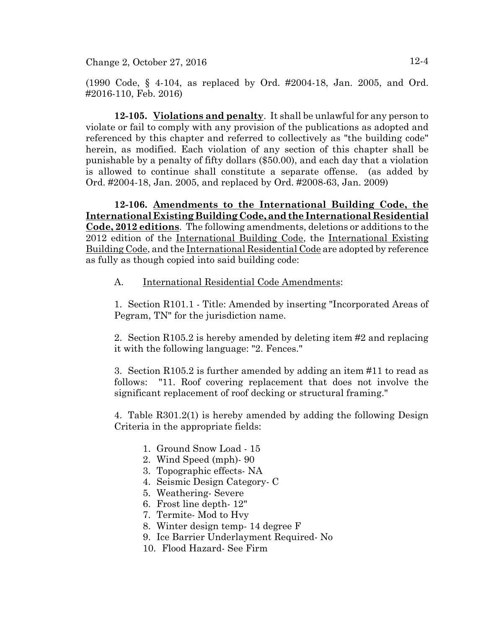(1990 Code, § 4-104, as replaced by Ord. #2004-18, Jan. 2005, and Ord. #2016-110, Feb. 2016)

**12-105. Violations and penalty**. It shall be unlawful for any person to violate or fail to comply with any provision of the publications as adopted and referenced by this chapter and referred to collectively as "the building code" herein, as modified. Each violation of any section of this chapter shall be punishable by a penalty of fifty dollars (\$50.00), and each day that a violation is allowed to continue shall constitute a separate offense. (as added by Ord. #2004-18, Jan. 2005, and replaced by Ord. #2008-63, Jan. 2009)

**12-106. Amendments to the International Building Code, the International Existing Building Code, and the International Residential Code, 2012 editions**. The following amendments, deletions or additions to the 2012 edition of the International Building Code, the International Existing Building Code, and the International Residential Code are adopted by reference as fully as though copied into said building code:

A. International Residential Code Amendments:

1. Section R101.1 - Title: Amended by inserting "Incorporated Areas of Pegram, TN" for the jurisdiction name.

2. Section R105.2 is hereby amended by deleting item #2 and replacing it with the following language: "2. Fences."

3. Section R105.2 is further amended by adding an item #11 to read as follows: "11. Roof covering replacement that does not involve the significant replacement of roof decking or structural framing."

4. Table R301.2(1) is hereby amended by adding the following Design Criteria in the appropriate fields:

- 1. Ground Snow Load 15
- 2. Wind Speed (mph)- 90
- 3. Topographic effects- NA
- 4. Seismic Design Category- C
- 5. Weathering- Severe
- 6. Frost line depth- 12"
- 7. Termite- Mod to Hvy
- 8. Winter design temp- 14 degree F
- 9. Ice Barrier Underlayment Required- No
- 10. Flood Hazard- See Firm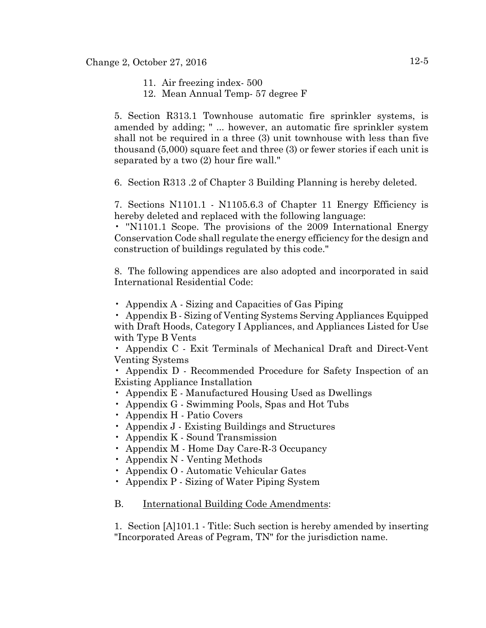- 11. Air freezing index- 500
- 12. Mean Annual Temp- 57 degree F

5. Section R313.1 Townhouse automatic fire sprinkler systems, is amended by adding; " ... however, an automatic fire sprinkler system shall not be required in a three (3) unit townhouse with less than five thousand (5,000) square feet and three (3) or fewer stories if each unit is separated by a two (2) hour fire wall."

6. Section R313 .2 of Chapter 3 Building Planning is hereby deleted.

7. Sections N1101.1 - N1105.6.3 of Chapter 11 Energy Efficiency is hereby deleted and replaced with the following language:

• ''N1101.1 Scope. The provisions of the 2009 International Energy Conservation Code shall regulate the energy efficiency for the design and construction of buildings regulated by this code."

8. The following appendices are also adopted and incorporated in said International Residential Code:

• Appendix A - Sizing and Capacities of Gas Piping

• Appendix B - Sizing of Venting Systems Serving Appliances Equipped with Draft Hoods, Category I Appliances, and Appliances Listed for Use with Type B Vents

• Appendix C - Exit Terminals of Mechanical Draft and Direct-Vent Venting Systems

• Appendix D - Recommended Procedure for Safety Inspection of an Existing Appliance Installation

- Appendix E Manufactured Housing Used as Dwellings
- Appendix G Swimming Pools, Spas and Hot Tubs
- Appendix H Patio Covers
- Appendix J Existing Buildings and Structures
- Appendix K Sound Transmission
- Appendix M Home Day Care-R-3 Occupancy
- Appendix N Venting Methods
- Appendix O Automatic Vehicular Gates
- Appendix P Sizing of Water Piping System

#### B. International Building Code Amendments:

1. Section [A]101.1 - Title: Such section is hereby amended by inserting "Incorporated Areas of Pegram, TN" for the jurisdiction name.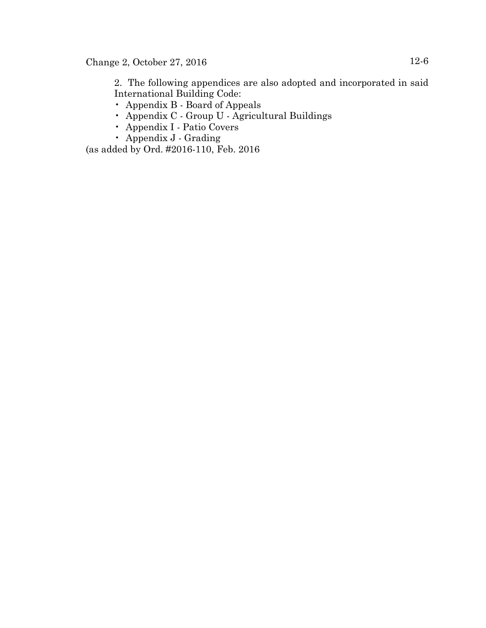2. The following appendices are also adopted and incorporated in said International Building Code:

- Appendix B Board of Appeals
- Appendix C Group U Agricultural Buildings
- Appendix I Patio Covers
- Appendix J Grading

(as added by Ord. #2016-110, Feb. 2016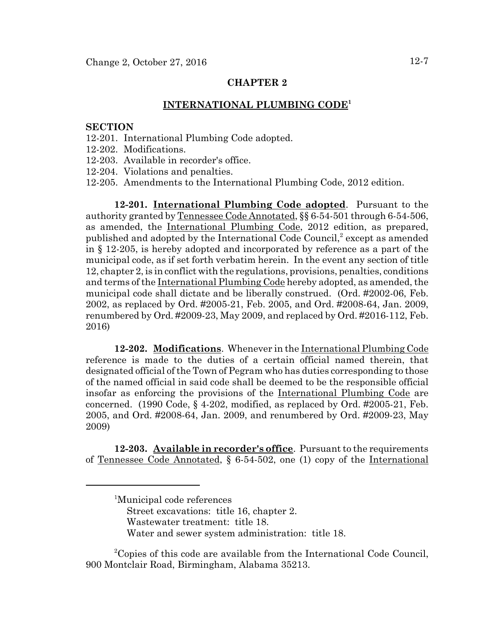#### **INTERNATIONAL PLUMBING CODE<sup>1</sup>**

#### **SECTION**

- 12-201. International Plumbing Code adopted.
- 12-202. Modifications.
- 12-203. Available in recorder's office.
- 12-204. Violations and penalties.
- 12-205. Amendments to the International Plumbing Code, 2012 edition.

**12-201. International Plumbing Code adopted**. Pursuant to the authority granted by Tennessee Code Annotated, §§ 6-54-501 through 6-54-506, as amended, the International Plumbing Code, 2012 edition, as prepared, published and adopted by the International Code Council,<sup>2</sup> except as amended in § 12-205, is hereby adopted and incorporated by reference as a part of the municipal code, as if set forth verbatim herein. In the event any section of title 12, chapter 2, is in conflict with the regulations, provisions, penalties, conditions and terms of the International Plumbing Code hereby adopted, as amended, the municipal code shall dictate and be liberally construed. (Ord. #2002-06, Feb. 2002, as replaced by Ord. #2005-21, Feb. 2005, and Ord. #2008-64, Jan. 2009, renumbered by Ord. #2009-23, May 2009, and replaced by Ord. #2016-112, Feb. 2016)

**12-202. Modifications**. Whenever in the International Plumbing Code reference is made to the duties of a certain official named therein, that designated official of the Town of Pegram who has duties corresponding to those of the named official in said code shall be deemed to be the responsible official insofar as enforcing the provisions of the International Plumbing Code are concerned.  $(1990 \text{ Code}, \S 4-202, \text{modified}, \text{as replaced by Ord. } \#2005-21, \text{ Feb.}$ 2005, and Ord. #2008-64, Jan. 2009, and renumbered by Ord. #2009-23, May 2009)

**12-203. Available in recorder's office**. Pursuant to the requirements of Tennessee Code Annotated, § 6-54-502, one (1) copy of the International

<sup>2</sup>Copies of this code are available from the International Code Council, 900 Montclair Road, Birmingham, Alabama 35213.

<sup>1</sup> Municipal code references Street excavations: title 16, chapter 2. Wastewater treatment: title 18. Water and sewer system administration: title 18.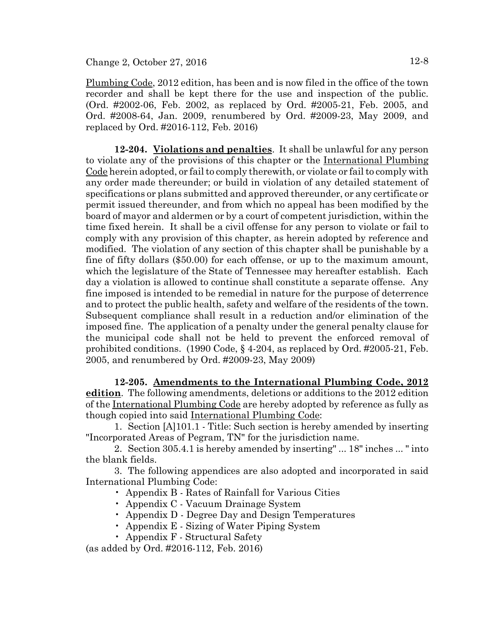Plumbing Code, 2012 edition, has been and is now filed in the office of the town recorder and shall be kept there for the use and inspection of the public. (Ord. #2002-06, Feb. 2002, as replaced by Ord. #2005-21, Feb. 2005, and Ord. #2008-64, Jan. 2009, renumbered by Ord. #2009-23, May 2009, and replaced by Ord. #2016-112, Feb. 2016)

**12-204. Violations and penalties**. It shall be unlawful for any person to violate any of the provisions of this chapter or the International Plumbing Code herein adopted, or fail to comply therewith, or violate or fail to comply with any order made thereunder; or build in violation of any detailed statement of specifications or plans submitted and approved thereunder, or any certificate or permit issued thereunder, and from which no appeal has been modified by the board of mayor and aldermen or by a court of competent jurisdiction, within the time fixed herein. It shall be a civil offense for any person to violate or fail to comply with any provision of this chapter, as herein adopted by reference and modified. The violation of any section of this chapter shall be punishable by a fine of fifty dollars (\$50.00) for each offense, or up to the maximum amount, which the legislature of the State of Tennessee may hereafter establish. Each day a violation is allowed to continue shall constitute a separate offense. Any fine imposed is intended to be remedial in nature for the purpose of deterrence and to protect the public health, safety and welfare of the residents of the town. Subsequent compliance shall result in a reduction and/or elimination of the imposed fine. The application of a penalty under the general penalty clause for the municipal code shall not be held to prevent the enforced removal of prohibited conditions. (1990 Code, § 4-204, as replaced by Ord. #2005-21, Feb. 2005, and renumbered by Ord. #2009-23, May 2009)

**12-205. Amendments to the International Plumbing Code, 2012 edition**. The following amendments, deletions or additions to the 2012 edition of the International Plumbing Code are hereby adopted by reference as fully as though copied into said International Plumbing Code:

1. Section [A]101.1 - Title: Such section is hereby amended by inserting "Incorporated Areas of Pegram, TN" for the jurisdiction name.

2. Section 305.4.1 is hereby amended by inserting" ... 18" inches ... " into the blank fields.

3. The following appendices are also adopted and incorporated in said International Plumbing Code:

- Appendix B Rates of Rainfall for Various Cities
- Appendix C Vacuum Drainage System
- Appendix D Degree Day and Design Temperatures
- Appendix E Sizing of Water Piping System
- Appendix F Structural Safety

(as added by Ord. #2016-112, Feb. 2016)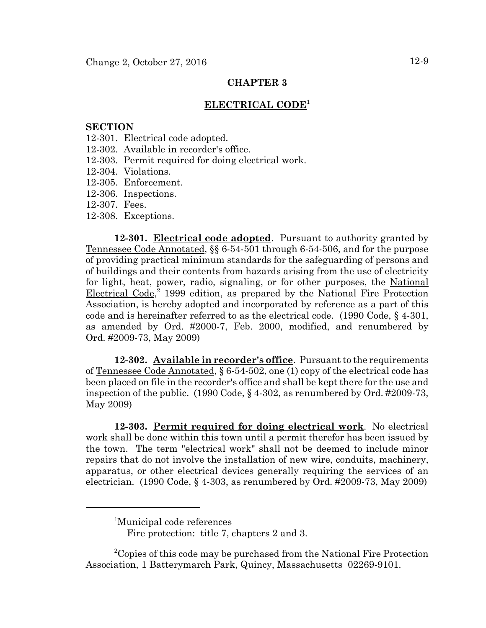#### **ELECTRICAL CODE<sup>1</sup>**

#### **SECTION**

- 12-301. Electrical code adopted.
- 12-302. Available in recorder's office.
- 12-303. Permit required for doing electrical work.
- 12-304. Violations.
- 12-305. Enforcement.
- 12-306. Inspections.
- 12-307. Fees.
- 12-308. Exceptions.

**12-301. Electrical code adopted**. Pursuant to authority granted by Tennessee Code Annotated, §§ 6-54-501 through 6-54-506, and for the purpose of providing practical minimum standards for the safeguarding of persons and of buildings and their contents from hazards arising from the use of electricity for light, heat, power, radio, signaling, or for other purposes, the National Electrical Code, 2 1999 edition, as prepared by the National Fire Protection Association, is hereby adopted and incorporated by reference as a part of this code and is hereinafter referred to as the electrical code. (1990 Code, § 4-301, as amended by Ord. #2000-7, Feb. 2000, modified, and renumbered by Ord. #2009-73, May 2009)

**12-302. Available in recorder's office**. Pursuant to the requirements of Tennessee Code Annotated, § 6-54-502, one (1) copy of the electrical code has been placed on file in the recorder's office and shall be kept there for the use and inspection of the public. (1990 Code, § 4-302, as renumbered by Ord. #2009-73, May 2009)

**12-303. Permit required for doing electrical work**. No electrical work shall be done within this town until a permit therefor has been issued by the town. The term "electrical work" shall not be deemed to include minor repairs that do not involve the installation of new wire, conduits, machinery, apparatus, or other electrical devices generally requiring the services of an electrician. (1990 Code, § 4-303, as renumbered by Ord. #2009-73, May 2009)

<sup>2</sup>Copies of this code may be purchased from the National Fire Protection Association, 1 Batterymarch Park, Quincy, Massachusetts 02269-9101.

<sup>1</sup> Municipal code references

Fire protection: title 7, chapters 2 and 3.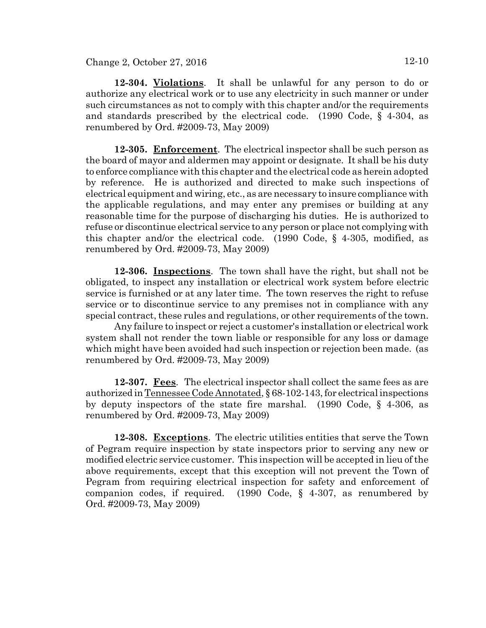**12-304. Violations**. It shall be unlawful for any person to do or authorize any electrical work or to use any electricity in such manner or under such circumstances as not to comply with this chapter and/or the requirements and standards prescribed by the electrical code. (1990 Code, § 4-304, as renumbered by Ord. #2009-73, May 2009)

**12-305. Enforcement**. The electrical inspector shall be such person as the board of mayor and aldermen may appoint or designate. It shall be his duty to enforce compliance with this chapter and the electrical code as herein adopted by reference. He is authorized and directed to make such inspections of electrical equipment and wiring, etc., as are necessary to insure compliance with the applicable regulations, and may enter any premises or building at any reasonable time for the purpose of discharging his duties. He is authorized to refuse or discontinue electrical service to any person or place not complying with this chapter and/or the electrical code. (1990 Code, § 4-305, modified, as renumbered by Ord. #2009-73, May 2009)

**12-306. Inspections**. The town shall have the right, but shall not be obligated, to inspect any installation or electrical work system before electric service is furnished or at any later time. The town reserves the right to refuse service or to discontinue service to any premises not in compliance with any special contract, these rules and regulations, or other requirements of the town.

Any failure to inspect or reject a customer's installation or electrical work system shall not render the town liable or responsible for any loss or damage which might have been avoided had such inspection or rejection been made. (as renumbered by Ord. #2009-73, May 2009)

**12-307. Fees**. The electrical inspector shall collect the same fees as are authorized in Tennessee Code Annotated, § 68-102-143, for electrical inspections by deputy inspectors of the state fire marshal. (1990 Code, § 4-306, as renumbered by Ord. #2009-73, May 2009)

**12-308. Exceptions**. The electric utilities entities that serve the Town of Pegram require inspection by state inspectors prior to serving any new or modified electric service customer. This inspection will be accepted in lieu of the above requirements, except that this exception will not prevent the Town of Pegram from requiring electrical inspection for safety and enforcement of companion codes, if required. (1990 Code, § 4-307, as renumbered by Ord. #2009-73, May 2009)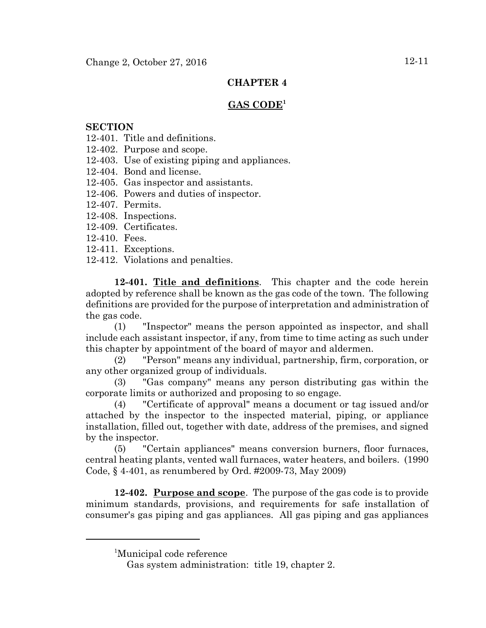## **GAS CODE<sup>1</sup>**

### **SECTION**

- 12-401. Title and definitions.
- 12-402. Purpose and scope.
- 12-403. Use of existing piping and appliances.
- 12-404. Bond and license.
- 12-405. Gas inspector and assistants.
- 12-406. Powers and duties of inspector.
- 12-407. Permits.
- 12-408. Inspections.
- 12-409. Certificates.
- 12-410. Fees.
- 12-411. Exceptions.
- 12-412. Violations and penalties.

**12-401. Title and definitions**. This chapter and the code herein adopted by reference shall be known as the gas code of the town. The following definitions are provided for the purpose of interpretation and administration of the gas code.

(1) "Inspector" means the person appointed as inspector, and shall include each assistant inspector, if any, from time to time acting as such under this chapter by appointment of the board of mayor and aldermen.

(2) "Person" means any individual, partnership, firm, corporation, or any other organized group of individuals.

(3) "Gas company" means any person distributing gas within the corporate limits or authorized and proposing to so engage.

(4) "Certificate of approval" means a document or tag issued and/or attached by the inspector to the inspected material, piping, or appliance installation, filled out, together with date, address of the premises, and signed by the inspector.

(5) "Certain appliances" means conversion burners, floor furnaces, central heating plants, vented wall furnaces, water heaters, and boilers. (1990 Code, § 4-401, as renumbered by Ord. #2009-73, May 2009)

**12-402. Purpose and scope**. The purpose of the gas code is to provide minimum standards, provisions, and requirements for safe installation of consumer's gas piping and gas appliances. All gas piping and gas appliances

<sup>1</sup> Municipal code reference

Gas system administration: title 19, chapter 2.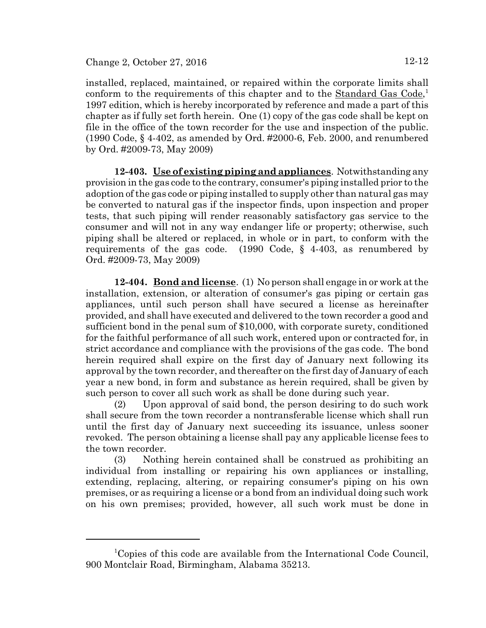installed, replaced, maintained, or repaired within the corporate limits shall conform to the requirements of this chapter and to the **Standard Gas Code**,<sup>1</sup> 1997 edition, which is hereby incorporated by reference and made a part of this chapter as if fully set forth herein. One (1) copy of the gas code shall be kept on file in the office of the town recorder for the use and inspection of the public. (1990 Code, § 4-402, as amended by Ord. #2000-6, Feb. 2000, and renumbered by Ord. #2009-73, May 2009)

**12-403. Use of existing piping and appliances**. Notwithstanding any provision in the gas code to the contrary, consumer's piping installed prior to the adoption of the gas code or piping installed to supply other than natural gas may be converted to natural gas if the inspector finds, upon inspection and proper tests, that such piping will render reasonably satisfactory gas service to the consumer and will not in any way endanger life or property; otherwise, such piping shall be altered or replaced, in whole or in part, to conform with the requirements of the gas code. (1990 Code, § 4-403, as renumbered by Ord. #2009-73, May 2009)

**12-404. Bond and license**. (1) No person shall engage in or work at the installation, extension, or alteration of consumer's gas piping or certain gas appliances, until such person shall have secured a license as hereinafter provided, and shall have executed and delivered to the town recorder a good and sufficient bond in the penal sum of \$10,000, with corporate surety, conditioned for the faithful performance of all such work, entered upon or contracted for, in strict accordance and compliance with the provisions of the gas code. The bond herein required shall expire on the first day of January next following its approval by the town recorder, and thereafter on the first day of January of each year a new bond, in form and substance as herein required, shall be given by such person to cover all such work as shall be done during such year.

(2) Upon approval of said bond, the person desiring to do such work shall secure from the town recorder a nontransferable license which shall run until the first day of January next succeeding its issuance, unless sooner revoked. The person obtaining a license shall pay any applicable license fees to the town recorder.

(3) Nothing herein contained shall be construed as prohibiting an individual from installing or repairing his own appliances or installing, extending, replacing, altering, or repairing consumer's piping on his own premises, or as requiring a license or a bond from an individual doing such work on his own premises; provided, however, all such work must be done in

<sup>&</sup>lt;sup>1</sup>Copies of this code are available from the International Code Council, 900 Montclair Road, Birmingham, Alabama 35213.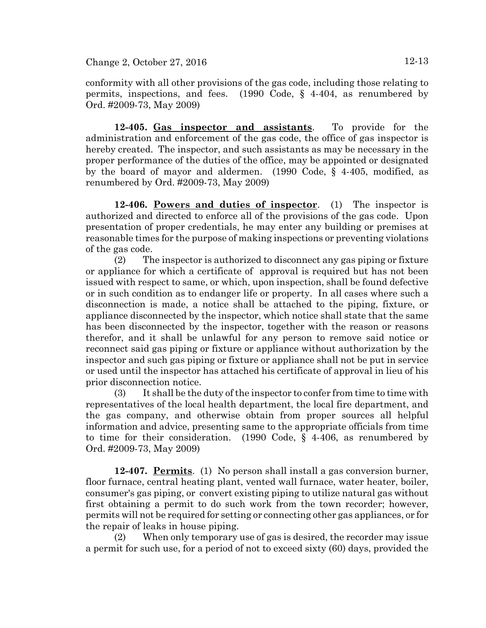**12-405. Gas inspector and assistants**. To provide for the administration and enforcement of the gas code, the office of gas inspector is hereby created. The inspector, and such assistants as may be necessary in the proper performance of the duties of the office, may be appointed or designated by the board of mayor and aldermen. (1990 Code, § 4-405, modified, as renumbered by Ord. #2009-73, May 2009)

**12-406. Powers and duties of inspector**. (1) The inspector is authorized and directed to enforce all of the provisions of the gas code. Upon presentation of proper credentials, he may enter any building or premises at reasonable times for the purpose of making inspections or preventing violations of the gas code.

(2) The inspector is authorized to disconnect any gas piping or fixture or appliance for which a certificate of approval is required but has not been issued with respect to same, or which, upon inspection, shall be found defective or in such condition as to endanger life or property. In all cases where such a disconnection is made, a notice shall be attached to the piping, fixture, or appliance disconnected by the inspector, which notice shall state that the same has been disconnected by the inspector, together with the reason or reasons therefor, and it shall be unlawful for any person to remove said notice or reconnect said gas piping or fixture or appliance without authorization by the inspector and such gas piping or fixture or appliance shall not be put in service or used until the inspector has attached his certificate of approval in lieu of his prior disconnection notice.

(3) It shall be the duty of the inspector to confer from time to time with representatives of the local health department, the local fire department, and the gas company, and otherwise obtain from proper sources all helpful information and advice, presenting same to the appropriate officials from time to time for their consideration. (1990 Code, § 4-406, as renumbered by Ord. #2009-73, May 2009)

**12-407. Permits**. (1) No person shall install a gas conversion burner, floor furnace, central heating plant, vented wall furnace, water heater, boiler, consumer's gas piping, or convert existing piping to utilize natural gas without first obtaining a permit to do such work from the town recorder; however, permits will not be required for setting or connecting other gas appliances, or for the repair of leaks in house piping.

(2) When only temporary use of gas is desired, the recorder may issue a permit for such use, for a period of not to exceed sixty (60) days, provided the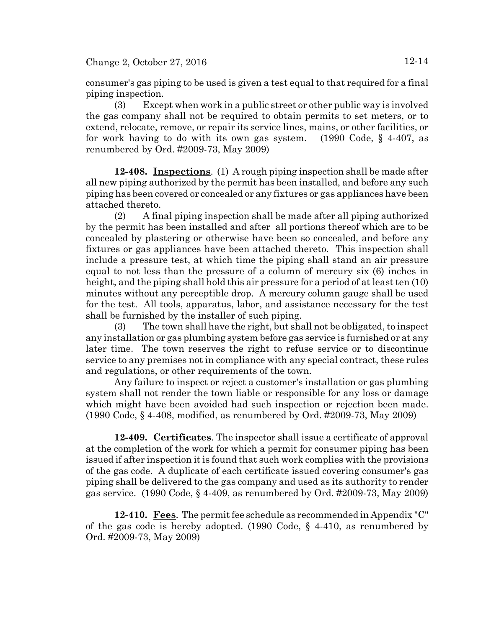consumer's gas piping to be used is given a test equal to that required for a final piping inspection.

(3) Except when work in a public street or other public way is involved the gas company shall not be required to obtain permits to set meters, or to extend, relocate, remove, or repair its service lines, mains, or other facilities, or for work having to do with its own gas system. (1990 Code, § 4-407, as renumbered by Ord. #2009-73, May 2009)

**12-408. Inspections**. (1) A rough piping inspection shall be made after all new piping authorized by the permit has been installed, and before any such piping has been covered or concealed or any fixtures or gas appliances have been attached thereto.

(2) A final piping inspection shall be made after all piping authorized by the permit has been installed and after all portions thereof which are to be concealed by plastering or otherwise have been so concealed, and before any fixtures or gas appliances have been attached thereto. This inspection shall include a pressure test, at which time the piping shall stand an air pressure equal to not less than the pressure of a column of mercury six (6) inches in height, and the piping shall hold this air pressure for a period of at least ten (10) minutes without any perceptible drop. A mercury column gauge shall be used for the test. All tools, apparatus, labor, and assistance necessary for the test shall be furnished by the installer of such piping.

(3) The town shall have the right, but shall not be obligated, to inspect any installation or gas plumbing system before gas service is furnished or at any later time. The town reserves the right to refuse service or to discontinue service to any premises not in compliance with any special contract, these rules and regulations, or other requirements of the town.

Any failure to inspect or reject a customer's installation or gas plumbing system shall not render the town liable or responsible for any loss or damage which might have been avoided had such inspection or rejection been made. (1990 Code, § 4-408, modified, as renumbered by Ord. #2009-73, May 2009)

**12-409. Certificates**. The inspector shall issue a certificate of approval at the completion of the work for which a permit for consumer piping has been issued if after inspection it is found that such work complies with the provisions of the gas code. A duplicate of each certificate issued covering consumer's gas piping shall be delivered to the gas company and used as its authority to render gas service. (1990 Code, § 4-409, as renumbered by Ord. #2009-73, May 2009)

**12-410. Fees**. The permit fee schedule as recommended in Appendix "C" of the gas code is hereby adopted. (1990 Code,  $\S$  4.410, as renumbered by Ord. #2009-73, May 2009)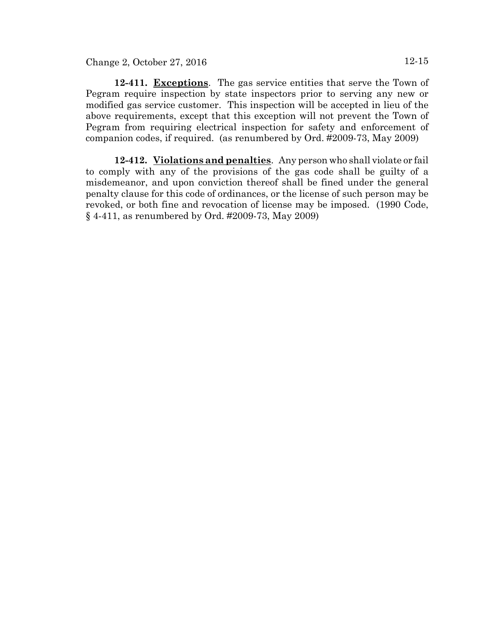**12-411. Exceptions**. The gas service entities that serve the Town of Pegram require inspection by state inspectors prior to serving any new or modified gas service customer. This inspection will be accepted in lieu of the above requirements, except that this exception will not prevent the Town of Pegram from requiring electrical inspection for safety and enforcement of companion codes, if required. (as renumbered by Ord. #2009-73, May 2009)

**12-412. Violations and penalties**. Any person who shall violate or fail to comply with any of the provisions of the gas code shall be guilty of a misdemeanor, and upon conviction thereof shall be fined under the general penalty clause for this code of ordinances, or the license of such person may be revoked, or both fine and revocation of license may be imposed. (1990 Code, § 4-411, as renumbered by Ord. #2009-73, May 2009)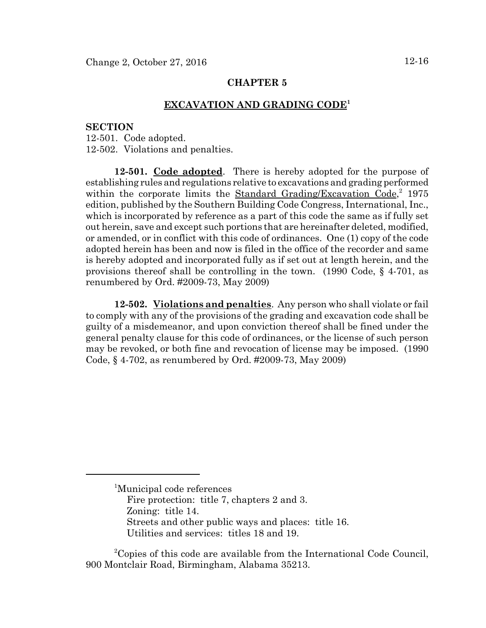#### **EXCAVATION AND GRADING CODE1**

#### **SECTION**

12-501. Code adopted. 12-502. Violations and penalties.

**12-501. Code adopted**. There is hereby adopted for the purpose of establishing rules and regulations relative to excavations and grading performed within the corporate limits the Standard Grading/Excavation Code,<sup>2</sup> 1975 edition, published by the Southern Building Code Congress, International, Inc., which is incorporated by reference as a part of this code the same as if fully set out herein, save and except such portions that are hereinafter deleted, modified, or amended, or in conflict with this code of ordinances. One (1) copy of the code adopted herein has been and now is filed in the office of the recorder and same is hereby adopted and incorporated fully as if set out at length herein, and the provisions thereof shall be controlling in the town. (1990 Code,  $\S$  4-701, as renumbered by Ord. #2009-73, May 2009)

**12-502. Violations and penalties**. Any person who shall violate or fail to comply with any of the provisions of the grading and excavation code shall be guilty of a misdemeanor, and upon conviction thereof shall be fined under the general penalty clause for this code of ordinances, or the license of such person may be revoked, or both fine and revocation of license may be imposed. (1990 Code, § 4-702, as renumbered by Ord. #2009-73, May 2009)

<sup>1</sup> Municipal code references Fire protection: title 7, chapters 2 and 3. Zoning: title 14. Streets and other public ways and places: title 16. Utilities and services: titles 18 and 19.

<sup>&</sup>lt;sup>2</sup>Copies of this code are available from the International Code Council, 900 Montclair Road, Birmingham, Alabama 35213.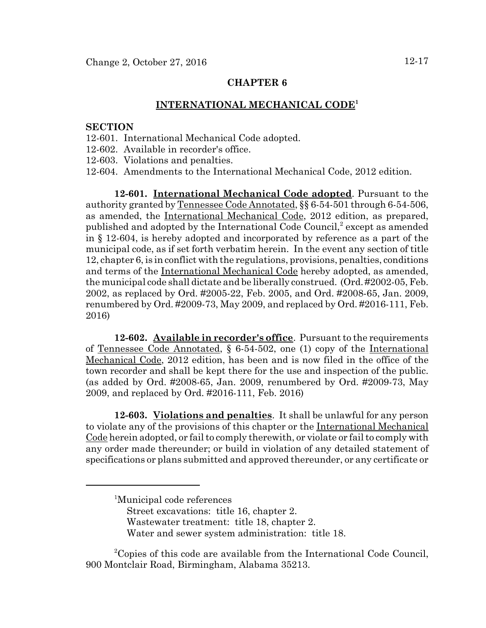#### **INTERNATIONAL MECHANICAL CODE<sup>1</sup>**

#### **SECTION**

- 12-601. International Mechanical Code adopted.
- 12-602. Available in recorder's office.
- 12-603. Violations and penalties.
- 12-604. Amendments to the International Mechanical Code, 2012 edition.

**12-601. International Mechanical Code adopted**. Pursuant to the authority granted by Tennessee Code Annotated, §§ 6-54-501 through 6-54-506, as amended, the International Mechanical Code, 2012 edition, as prepared, published and adopted by the International Code Council,<sup>2</sup> except as amended in § 12-604, is hereby adopted and incorporated by reference as a part of the municipal code, as if set forth verbatim herein. In the event any section of title 12, chapter 6, is in conflict with the regulations, provisions, penalties, conditions and terms of the International Mechanical Code hereby adopted, as amended, the municipal code shall dictate and be liberally construed. (Ord. #2002-05, Feb. 2002, as replaced by Ord. #2005-22, Feb. 2005, and Ord. #2008-65, Jan. 2009, renumbered by Ord. #2009-73, May 2009, and replaced by Ord. #2016-111, Feb. 2016)

**12-602. Available in recorder's office**. Pursuant to the requirements of Tennessee Code Annotated, § 6-54-502, one (1) copy of the International Mechanical Code, 2012 edition, has been and is now filed in the office of the town recorder and shall be kept there for the use and inspection of the public. (as added by Ord. #2008-65, Jan. 2009, renumbered by Ord. #2009-73, May 2009, and replaced by Ord. #2016-111, Feb. 2016)

**12-603. Violations and penalties**. It shall be unlawful for any person to violate any of the provisions of this chapter or the International Mechanical Code herein adopted, or fail to comply therewith, or violate or fail to comply with any order made thereunder; or build in violation of any detailed statement of specifications or plans submitted and approved thereunder, or any certificate or

- Street excavations: title 16, chapter 2.
- Wastewater treatment: title 18, chapter 2.
- Water and sewer system administration: title 18.

<sup>2</sup>Copies of this code are available from the International Code Council, 900 Montclair Road, Birmingham, Alabama 35213.

<sup>1</sup> Municipal code references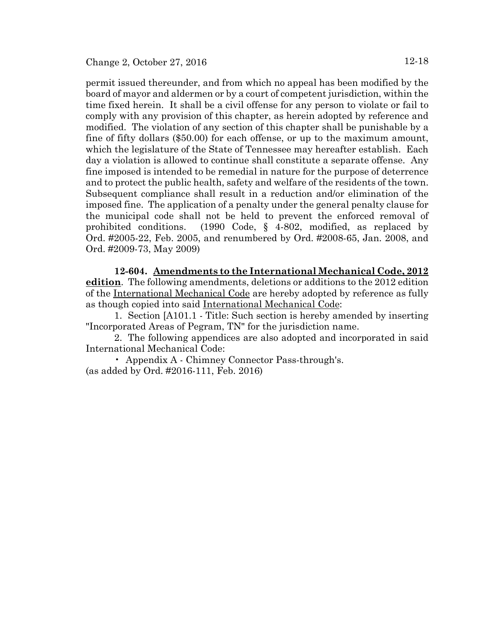permit issued thereunder, and from which no appeal has been modified by the board of mayor and aldermen or by a court of competent jurisdiction, within the time fixed herein. It shall be a civil offense for any person to violate or fail to comply with any provision of this chapter, as herein adopted by reference and modified. The violation of any section of this chapter shall be punishable by a fine of fifty dollars (\$50.00) for each offense, or up to the maximum amount, which the legislature of the State of Tennessee may hereafter establish. Each day a violation is allowed to continue shall constitute a separate offense. Any fine imposed is intended to be remedial in nature for the purpose of deterrence and to protect the public health, safety and welfare of the residents of the town. Subsequent compliance shall result in a reduction and/or elimination of the imposed fine. The application of a penalty under the general penalty clause for the municipal code shall not be held to prevent the enforced removal of prohibited conditions. (1990 Code, § 4-802, modified, as replaced by Ord. #2005-22, Feb. 2005, and renumbered by Ord. #2008-65, Jan. 2008, and Ord. #2009-73, May 2009)

**12-604. Amendments to the International Mechanical Code, 2012 edition**. The following amendments, deletions or additions to the 2012 edition of the International Mechanical Code are hereby adopted by reference as fully as though copied into said International Mechanical Code:

1. Section [A101.1 - Title: Such section is hereby amended by inserting "Incorporated Areas of Pegram, TN" for the jurisdiction name.

2. The following appendices are also adopted and incorporated in said International Mechanical Code:

• Appendix A - Chimney Connector Pass-through's. (as added by Ord. #2016-111, Feb. 2016)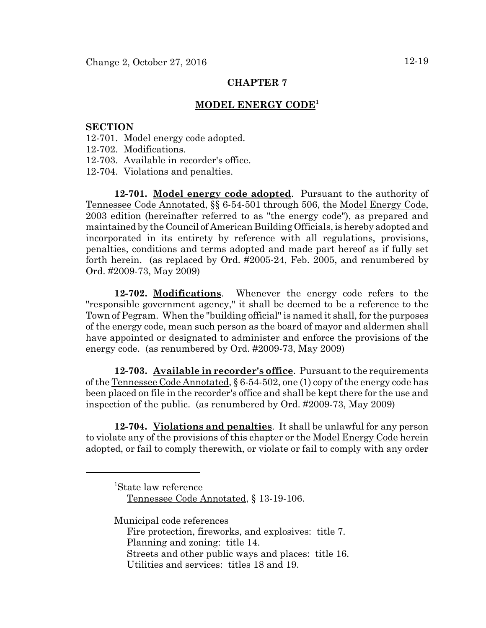### **MODEL ENERGY CODE<sup>1</sup>**

#### **SECTION**

- 12-701. Model energy code adopted.
- 12-702. Modifications.
- 12-703. Available in recorder's office.
- 12-704. Violations and penalties.

**12-701. Model energy code adopted**. Pursuant to the authority of Tennessee Code Annotated, §§ 6-54-501 through 506, the Model Energy Code, 2003 edition (hereinafter referred to as "the energy code"), as prepared and maintained by the Council of American Building Officials, is hereby adopted and incorporated in its entirety by reference with all regulations, provisions, penalties, conditions and terms adopted and made part hereof as if fully set forth herein. (as replaced by Ord. #2005-24, Feb. 2005, and renumbered by Ord. #2009-73, May 2009)

**12-702. Modifications**. Whenever the energy code refers to the "responsible government agency," it shall be deemed to be a reference to the Town of Pegram. When the "building official" is named it shall, for the purposes of the energy code, mean such person as the board of mayor and aldermen shall have appointed or designated to administer and enforce the provisions of the energy code. (as renumbered by Ord. #2009-73, May 2009)

**12-703. Available in recorder's office**. Pursuant to the requirements of the Tennessee Code Annotated, § 6-54-502, one (1) copy of the energy code has been placed on file in the recorder's office and shall be kept there for the use and inspection of the public. (as renumbered by Ord. #2009-73, May 2009)

**12-704. Violations and penalties**. It shall be unlawful for any person to violate any of the provisions of this chapter or the Model Energy Code herein adopted, or fail to comply therewith, or violate or fail to comply with any order

1 State law reference Tennessee Code Annotated, § 13-19-106.

Municipal code references

Fire protection, fireworks, and explosives: title 7. Planning and zoning: title 14.

Streets and other public ways and places: title 16.

Utilities and services: titles 18 and 19.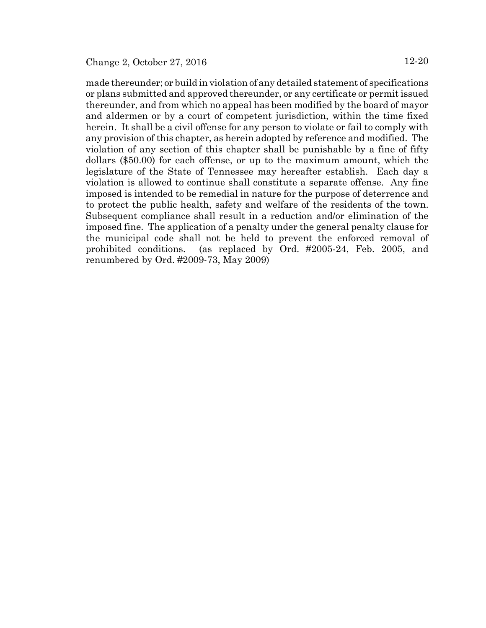made thereunder; or build in violation of any detailed statement of specifications or plans submitted and approved thereunder, or any certificate or permit issued thereunder, and from which no appeal has been modified by the board of mayor and aldermen or by a court of competent jurisdiction, within the time fixed herein. It shall be a civil offense for any person to violate or fail to comply with any provision of this chapter, as herein adopted by reference and modified. The violation of any section of this chapter shall be punishable by a fine of fifty dollars (\$50.00) for each offense, or up to the maximum amount, which the legislature of the State of Tennessee may hereafter establish. Each day a violation is allowed to continue shall constitute a separate offense. Any fine imposed is intended to be remedial in nature for the purpose of deterrence and to protect the public health, safety and welfare of the residents of the town. Subsequent compliance shall result in a reduction and/or elimination of the imposed fine. The application of a penalty under the general penalty clause for the municipal code shall not be held to prevent the enforced removal of prohibited conditions. (as replaced by Ord. #2005-24, Feb. 2005, and renumbered by Ord. #2009-73, May 2009)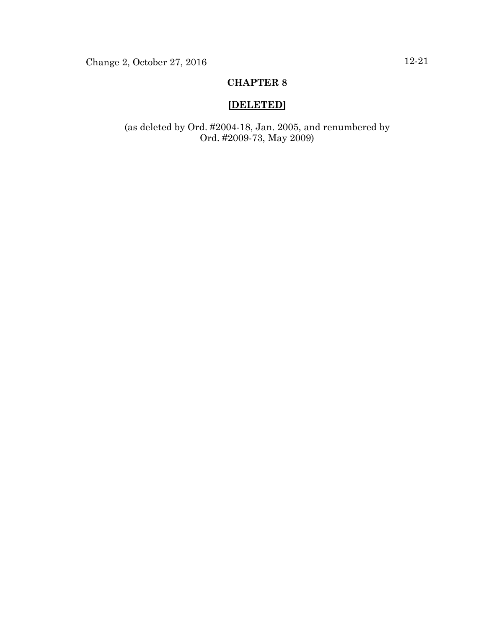## **[DELETED]**

(as deleted by Ord. #2004-18, Jan. 2005, and renumbered by Ord. #2009-73, May 2009)